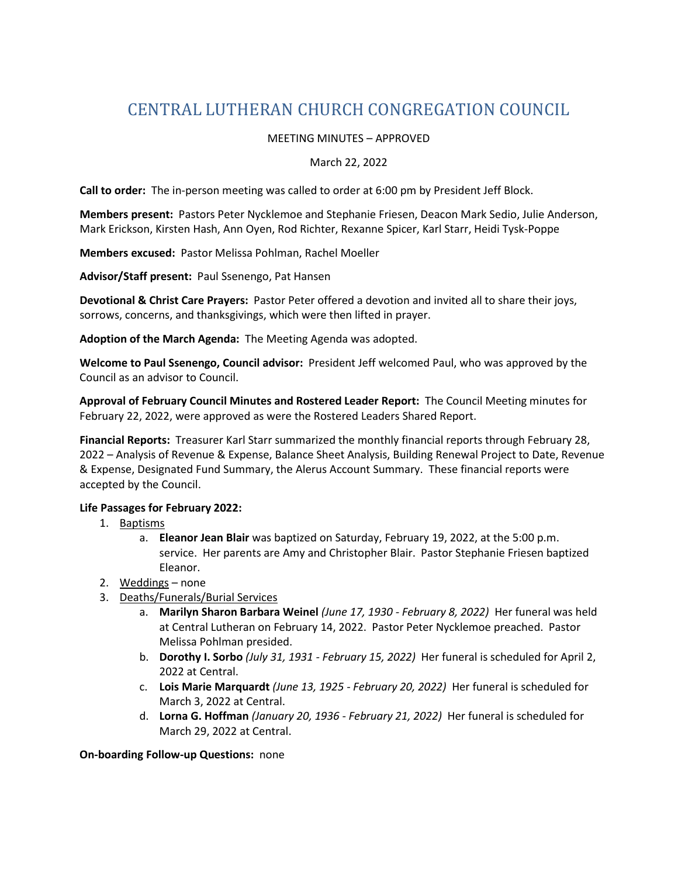# CENTRAL LUTHERAN CHURCH CONGREGATION COUNCIL

### MEETING MINUTES – APPROVED

#### March 22, 2022

**Call to order:** The in-person meeting was called to order at 6:00 pm by President Jeff Block.

**Members present:** Pastors Peter Nycklemoe and Stephanie Friesen, Deacon Mark Sedio, Julie Anderson, Mark Erickson, Kirsten Hash, Ann Oyen, Rod Richter, Rexanne Spicer, Karl Starr, Heidi Tysk-Poppe

**Members excused:** Pastor Melissa Pohlman, Rachel Moeller

**Advisor/Staff present:** Paul Ssenengo, Pat Hansen

**Devotional & Christ Care Prayers:** Pastor Peter offered a devotion and invited all to share their joys, sorrows, concerns, and thanksgivings, which were then lifted in prayer.

**Adoption of the March Agenda:** The Meeting Agenda was adopted.

**Welcome to Paul Ssenengo, Council advisor:** President Jeff welcomed Paul, who was approved by the Council as an advisor to Council.

**Approval of February Council Minutes and Rostered Leader Report:** The Council Meeting minutes for February 22, 2022, were approved as were the Rostered Leaders Shared Report.

**Financial Reports:** Treasurer Karl Starr summarized the monthly financial reports through February 28, 2022 – Analysis of Revenue & Expense, Balance Sheet Analysis, Building Renewal Project to Date, Revenue & Expense, Designated Fund Summary, the Alerus Account Summary. These financial reports were accepted by the Council.

### **Life Passages for February 2022:**

- 1. Baptisms
	- a. **Eleanor Jean Blair** was baptized on Saturday, February 19, 2022, at the 5:00 p.m. service. Her parents are Amy and Christopher Blair. Pastor Stephanie Friesen baptized Eleanor.
- 2. Weddings none
- 3. Deaths/Funerals/Burial Services
	- a. **Marilyn Sharon Barbara Weinel** *(June 17, 1930 February 8, 2022)* Her funeral was held at Central Lutheran on February 14, 2022. Pastor Peter Nycklemoe preached. Pastor Melissa Pohlman presided.
	- b. **Dorothy I. Sorbo** *(July 31, 1931 February 15, 2022)* Her funeral is scheduled for April 2, 2022 at Central.
	- c. **Lois Marie Marquardt** *(June 13, 1925 February 20, 2022)* Her funeral is scheduled for March 3, 2022 at Central.
	- d. **Lorna G. Hoffman** *(January 20, 1936 February 21, 2022)* Her funeral is scheduled for March 29, 2022 at Central.

**On-boarding Follow-up Questions:** none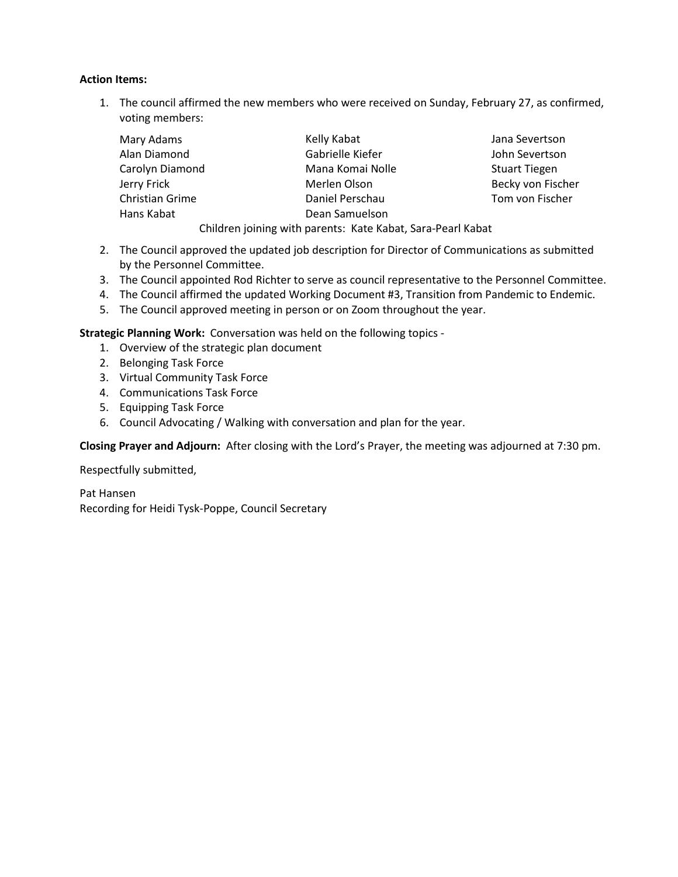#### **Action Items:**

1. The council affirmed the new members who were received on Sunday, February 27, as confirmed, voting members:

| Mary Adams      |  | Kelly Kabat                                                 | Jana Severtson       |
|-----------------|--|-------------------------------------------------------------|----------------------|
| Alan Diamond    |  | Gabrielle Kiefer                                            | John Severtson       |
| Carolyn Diamond |  | Mana Komai Nolle                                            | <b>Stuart Tiegen</b> |
| Jerry Frick     |  | Merlen Olson                                                | Becky von Fischer    |
| Christian Grime |  | Daniel Perschau                                             | Tom von Fischer      |
| Hans Kabat      |  | Dean Samuelson                                              |                      |
|                 |  | Children joining with parents: Kate Kabat, Sara-Pearl Kabat |                      |

- 2. The Council approved the updated job description for Director of Communications as submitted by the Personnel Committee.
- 3. The Council appointed Rod Richter to serve as council representative to the Personnel Committee.
- 4. The Council affirmed the updated Working Document #3, Transition from Pandemic to Endemic.
- 5. The Council approved meeting in person or on Zoom throughout the year.

**Strategic Planning Work:** Conversation was held on the following topics -

- 1. Overview of the strategic plan document
- 2. Belonging Task Force
- 3. Virtual Community Task Force
- 4. Communications Task Force
- 5. Equipping Task Force
- 6. Council Advocating / Walking with conversation and plan for the year.

**Closing Prayer and Adjourn:** After closing with the Lord's Prayer, the meeting was adjourned at 7:30 pm.

Respectfully submitted,

Pat Hansen Recording for Heidi Tysk-Poppe, Council Secretary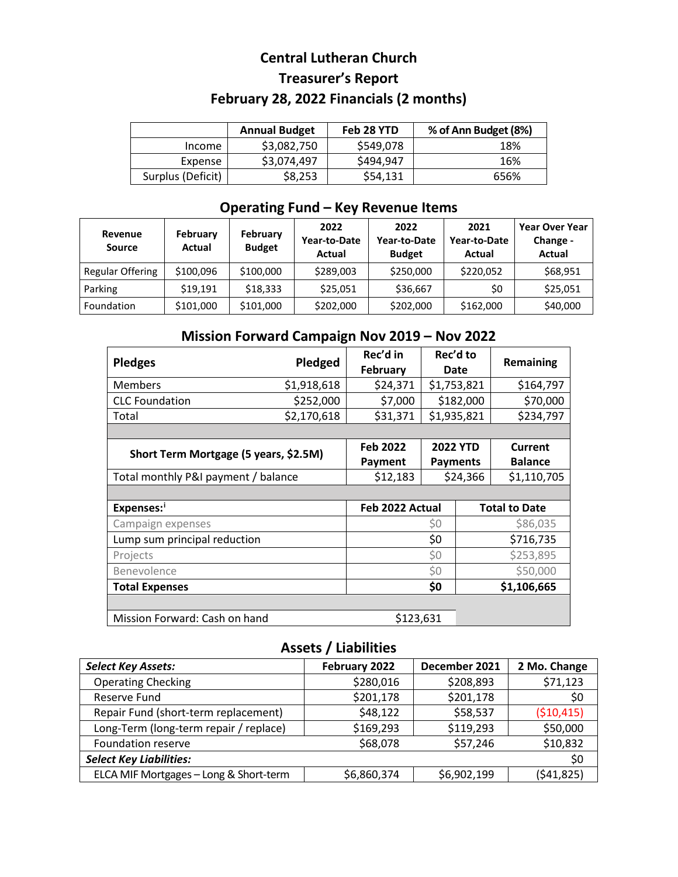# **Central Lutheran Church Treasurer's Report February 28, 2022 Financials (2 months)**

|                   | <b>Annual Budget</b> | Feb 28 YTD | % of Ann Budget (8%) |
|-------------------|----------------------|------------|----------------------|
| Income            | \$3,082,750          | \$549,078  | 18%                  |
| Expense           | \$3,074,497          | \$494,947  | 16%                  |
| Surplus (Deficit) | \$8,253              | \$54,131   | 656%                 |

## **Operating Fund – Key Revenue Items**

| Revenue<br><b>Source</b> | February<br>Actual | February<br><b>Budget</b> | 2022<br>Year-to-Date<br>Actual | 2022<br>Year-to-Date<br><b>Budget</b> | 2021<br>Year-to-Date<br>Actual | <b>Year Over Year</b><br>Change -<br>Actual |
|--------------------------|--------------------|---------------------------|--------------------------------|---------------------------------------|--------------------------------|---------------------------------------------|
| Regular Offering         | \$100,096          | \$100,000                 | \$289,003                      | \$250,000                             | \$220,052                      | \$68,951                                    |
| Parking                  | \$19.191           | \$18.333                  | \$25,051                       | \$36,667                              | \$0                            | \$25,051                                    |
| Foundation               | \$101,000          | \$101,000                 | \$202,000                      | \$202,000                             | \$162,000                      | \$40,000                                    |

## **Mission Forward Campaign Nov 2019 – Nov 2022**

| <b>Pledges</b>                        | Pledged     | Rec'd in<br><b>February</b> |                 | Rec'd to<br>Date | Remaining            |
|---------------------------------------|-------------|-----------------------------|-----------------|------------------|----------------------|
| <b>Members</b>                        | \$1,918,618 | \$24,371                    | \$1,753,821     |                  | \$164,797            |
| <b>CLC</b> Foundation                 | \$252,000   | \$7,000                     |                 | \$182,000        | \$70,000             |
| Total                                 | \$2,170,618 | \$31,371                    | \$1,935,821     |                  | \$234,797            |
|                                       |             |                             |                 |                  |                      |
| Short Term Mortgage (5 years, \$2.5M) |             | <b>Feb 2022</b>             | <b>2022 YTD</b> |                  | Current              |
|                                       |             | Payment                     |                 | <b>Payments</b>  | <b>Balance</b>       |
| Total monthly P&I payment / balance   |             | \$12,183                    | \$24,366        |                  | \$1,110,705          |
|                                       |             |                             |                 |                  |                      |
| Expenses:                             |             | Feb 2022 Actual             |                 |                  | <b>Total to Date</b> |
| Campaign expenses                     |             | Ş0                          |                 | \$86,035         |                      |
| Lump sum principal reduction          |             | \$0                         |                 | \$716,735        |                      |
| Projects                              |             | \$0                         |                 | \$253,895        |                      |
| Benevolence                           |             | \$0                         |                 | \$50,000         |                      |
| <b>Total Expenses</b>                 |             |                             | \$0             |                  | \$1,106,665          |
|                                       |             |                             |                 |                  |                      |
| Mission Forward: Cash on hand         |             | \$123,631                   |                 |                  |                      |

## **Assets / Liabilities**

| <b>Select Key Assets:</b>              | February 2022 | December 2021 | 2 Mo. Change |
|----------------------------------------|---------------|---------------|--------------|
| <b>Operating Checking</b>              | \$280,016     | \$208,893     | \$71,123     |
| Reserve Fund                           | \$201,178     | \$201,178     | \$0          |
| Repair Fund (short-term replacement)   | \$48,122      | \$58,537      | ( \$10,415)  |
| Long-Term (long-term repair / replace) | \$169,293     | \$119,293     | \$50,000     |
| <b>Foundation reserve</b>              | \$68,078      | \$57,246      | \$10,832     |
| <b>Select Key Liabilities:</b>         |               |               | \$0          |
| ELCA MIF Mortgages - Long & Short-term | \$6,860,374   | \$6,902,199   | (541, 825)   |